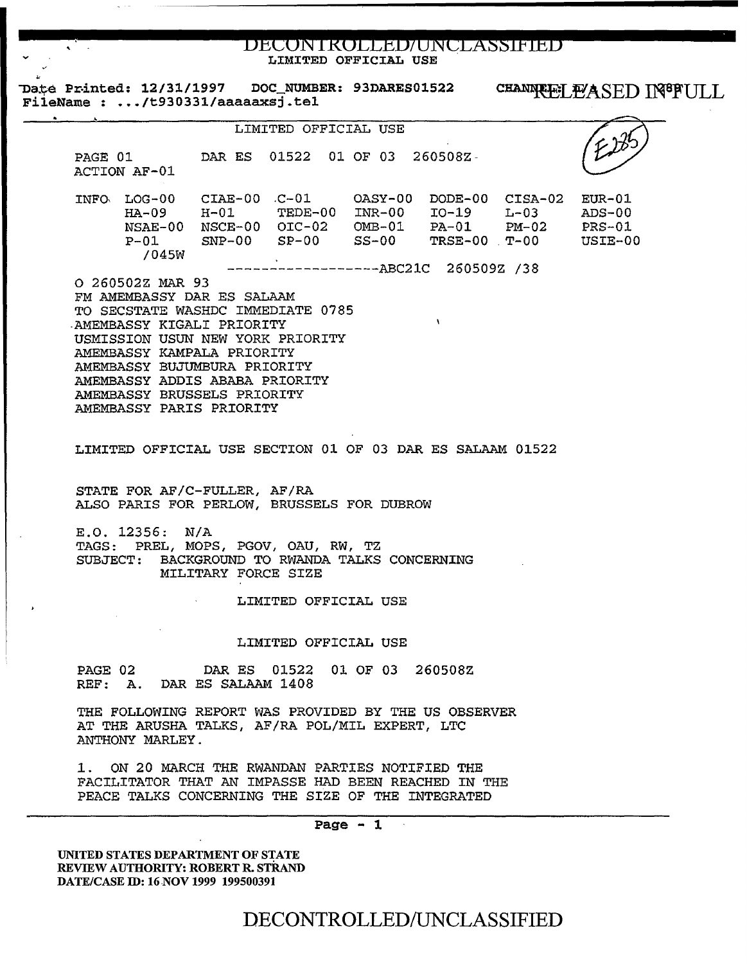DECONTROLLED/UNCLASSIFIED LIMITED OFFICIAL USE

Date Printed: 12/31/1997 DOC\_NUMBER: 93DARES01522

CHANNREL EASED IN<sup>88</sup>FULL

FileName : .../t930331/aaaaaxsj.tel LIMITED OFFICIAL USE PAGE 01 DAR ES 01522 01 OF 03 260508Z-ACTION AF-01  $CIAE-00$   $C-01$   $OASY-00$   $DODE-00$   $CISA-02$   $EUR-01$ INFO. LOG-00 TEDE-00 INR-00  $HA-09$   $H-01$ IO-19  $L-03$  $ADS-00$ NSAE-00 NSCE-00 OIC-02  $PM-02$  $OMB-01$ PA-01 **PRS-01**  ${\tt SNP-00}$  $P-01$  $SP-00$ SS-00  $TRSE-00$   $T-00$ USIE-00  $/045W$ ------------------ABC21C 260509Z /38 O 260502Z MAR 93 FM AMEMBASSY DAR ES SALAAM TO SECSTATE WASHDC IMMEDIATE 0785  $\lambda$ AMEMBASSY KIGALI PRIORITY USMISSION USUN NEW YORK PRIORITY AMEMBASSY KAMPALA PRIORITY AMEMBASSY BUJUMBURA PRIORITY AMEMBASSY ADDIS ABABA PRIORITY AMEMBASSY BRUSSELS PRIORITY AMEMBASSY PARIS PRIORITY LIMITED OFFICIAL USE SECTION 01 OF 03 DAR ES SALAAM 01522 STATE FOR AF/C-FULLER, AF/RA ALSO PARIS FOR PERLOW, BRUSSELS FOR DUBROW  $E.0.12356: N/A$ TAGS: PREL, MOPS, PGOV, OAU, RW, TZ SUBJECT: BACKGROUND TO RWANDA TALKS CONCERNING MILITARY FORCE SIZE LIMITED OFFICIAL USE LIMITED OFFICIAL USE PAGE 02 DAR ES 01522 01 OF 03 260508Z REF: A. DAR ES SALAAM 1408 THE FOLLOWING REPORT WAS PROVIDED BY THE US OBSERVER AT THE ARUSHA TALKS, AF/RA POL/MIL EXPERT, LTC ANTHONY MARLEY. ON 20 MARCH THE RWANDAN PARTIES NOTIFIED THE 1. FACILITATOR THAT AN IMPASSE HAD BEEN REACHED IN THE PEACE TALKS CONCERNING THE SIZE OF THE INTEGRATED Page  $-1$ 

UNITED STATES DEPARTMENT OF STATE REVIEW AUTHORITY: ROBERT R. STRAND DATE/CASE ID: 16 NOV 1999 199500391

DECONTROLLED/UNCLASSIFIED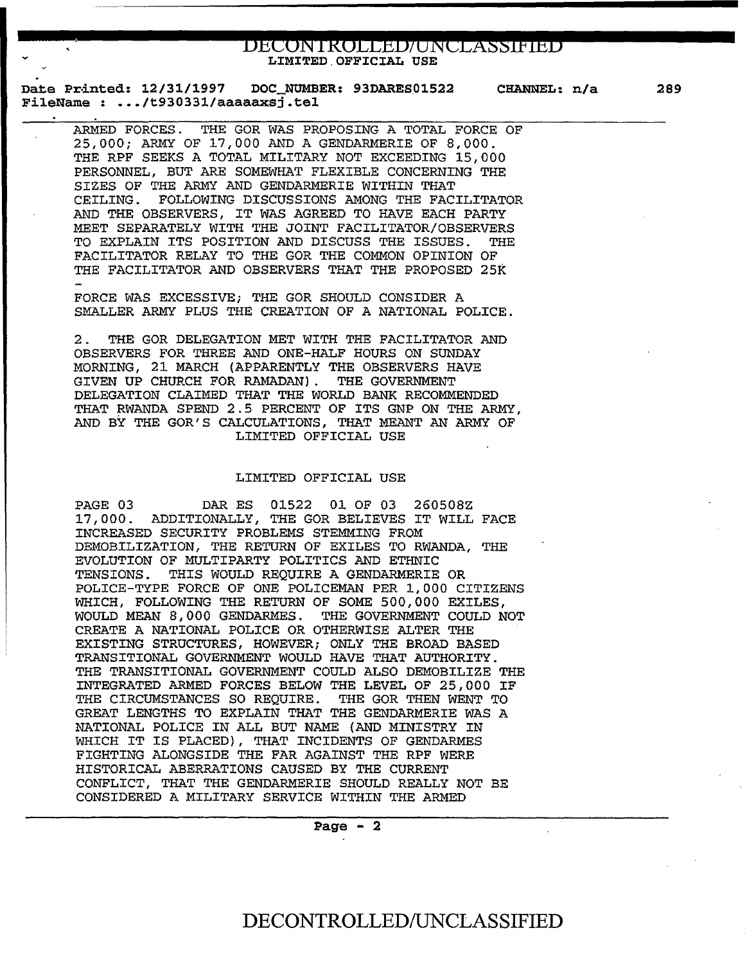# **bbEON Ikdt&B/ONELX§§lPllib** LIMITED.OFFICIAL USE

Date Printed: 12/31/1997 DOC\_NUMBER: 93DARES01522 FileName : ••• /t930331/aaaaaxsj.tel CHANNEL: n/a

ARMED FORCES. THE GOR WAS PROPOSING A TOTAL FORCE OF 25,000; ARMY OF 17,000 AND A GENDARMERIE OF *8,000.*  THE RPF SEEKS A TOTAL MILITARY NOT EXCEEDING 15,000 PERSONNEL, BUT ARE SOMEWHAT FLEXIBLE CONCERNING THE SIZES OF THE ARMY AND GENDARMERIE WITHIN THAT CEILING. FOLLOWING DISCUSSIONS AMONG THE FACILITATOR AND THE OBSERVERS, IT WAS AGREED TO HAVE EACH PARTY MEET SEPARATELY WITH THE JOINT FACILITATOR/OBSERVERS TO EXPLAIN ITS POSITION AND DISCUSS THE ISSUES. THE FACILITATOR RELAY TO THE GOR THE COMMON OPINION OF THE FACILITATOR AND OBSERVERS THAT THE PROPOSED 25K

FORCE WAS EXCESSIVE; THE GOR SHOULD CONSIDER A SMALLER ARMY PLUS THE CREATION OF A NATIONAL POLICE.

2. THE GOR DELEGATION MET WITH THE FACILITATOR AND OBSERVERS FOR THREE AND ONE-HALF HOURS ON SUNDAY MORNING, 21 MARCH (APPARENTLY THE OBSERVERS HAVE GIVEN UP CHURCH FOR RAMADAN) . THE GOVERNMENT DELEGATION CLAIMED THAT THE WORLD BANK RECOMMENDED THAT RWANDA SPEND 2.5 PERCENT OF ITS GNP ON THE ARMY, AND BY THE GOR'S CALCULATIONS, THAT MEANT AN ARMY OF LIMITED OFFICIAL USE

## LIMITED OFFICIAL USE

PAGE 03 DAR ES 01522 01 OF 03 260508Z 17,000. ADDITIONALLY, THE GOR BELIEVES IT WILL FACE INCREASED SECURITY PROBLEMS STEMMING FROM DEMOBILIZATION, THE RETURN OF EXILES TO RWANDA, THE EVOLUTION OF MULTIPARTY POLITICS AND ETHNIC TENSIONS. THIS WOULD REQUIRE A GENDARMERIE OR POLICE-TYPE FORCE OF ONE POLICEMAN PER 1,000 CITIZENS WHICH, FOLLOWING THE RETURN OF SOME 500,000 EXILES, WOULD MEAN 8, 000 GENDARMES. THE GOVERNMENT COULD NOT CREATE A NATIONAL POLICE OR OTHERWISE ALTER THE EXISTING STRUCTURES, HOWEVER; ONLY THE BROAD BASED TRANSITIONAL GOVERNMENT WOULD HAVE THAT AUTHORITY. THE TRANSITIONAL GOVERNMENT COULD ALSO DEMOBILIZE THE INTEGRATED ARMED FORCES BELOW THE LEVEL OF 25,000 IF THE CIRCUMSTANCES SO REQUIRE. THE GOR THEN WENT TO GREAT LENGTHS TO EXPLAIN THAT THE GENDARMERIE WAS A NATIONAL POLICE IN ALL BUT NAME (AND MINISTRY IN WHICH IT IS PLACED) , THAT INCIDENTS OF GENDARMES FIGHTING ALONGSIDE THE FAR AGAINST THE RPF WERE HISTORICAL ABERRATIONS CAUSED BY THE CURRENT CONFLICT, THAT THE GENDARMERIE SHOULD REALLY NOT BE CONSIDERED A MILITARY SERVICE WITHIN THE ARMED

Page  $-2$ 

# DECONTROLLED/UNCLASSIFIED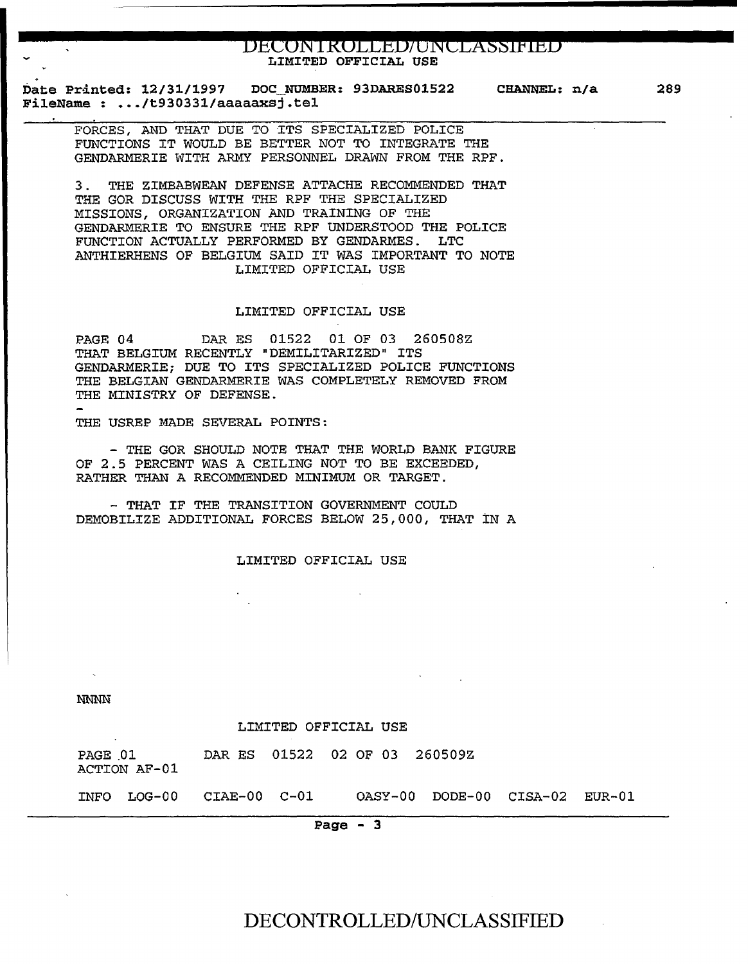# **DECONTROLLED/UNCLASSIFIED**<br>LIMITED OFFICIAL USE

Date Printed: 12/31/1997 FileName : ••• /t930331/aaaaaxsj.tel DOC NUMBER: 93DARES01522 CHANNEL: n/a 289

FORCES, AND THAT DUE TO ITS SPECIALIZED POLICE FUNCTIONS IT WOULD BE BETTER NOT TO INTEGRATE THE GENDARMERIE WITH ARMY PERSONNEL DRAWN FROM THE RPF.

3 . THE ZIMBABWEAN DEFENSE ATTACHE RECOMMENDED THAT THE GOR DISCUSS WITH THE RPF THE SPECIALIZED MISSIONS, ORGANIZATION AND TRAINING OF THE GENDARMERIE TO ENSURE THE RPF UNDERSTOOD THE POLICE FUNCTION ACTUALLY PERFORMED BY GENDARMES. LTC ANTHIERHENS OF BELGIUM SAID IT WAS IMPORTANT TO NOTE LIMITED OFFICIAL USE

### LIMITED OFFICIAL USE

PAGE 04 DAR ES 01522 01 OF 03 260508Z THAT BELGIUM RECENTLY "DEMILITARIZED" ITS GENDARMERIE; DUE TO ITS SPECIALIZED POLICE FUNCTIONS THE BELGIAN GENDARMERIE WAS COMPLETELY REMOVED FROM THE MINISTRY OF DEFENSE.

THE USREP MADE SEVERAL POINTS:

- THE GOR SHOULD NOTE THAT THE WORLD BANK FIGURE OF 2.5 PERCENT WAS A CEILING NOT TO BE EXCEEDED, RATHER THAN A RECOMMENDED MINIMUM OR TARGET.

- THAT IF THE TRANSITION GOVERNMENT COULD DEMOBILIZE ADDITIONAL FORCES BELOW 25,000, THAT IN A

LIMITED OFFICIAL USE

**NNNN** 

 $\mathcal{A}^{\pm}$ 

#### LIMITED OFFICIAL USE

| PAGE 01 | ACTION AF-01             | DAR ES 01522 02 OF 03 260509Z |  |                                |  |
|---------|--------------------------|-------------------------------|--|--------------------------------|--|
|         | INFO LOG-00 CIAE-00 C-01 |                               |  | OASY-00 DODE-00 CISA-02 EUR-01 |  |

Page - 3

DECONTROLLED/UNCLASSIFIED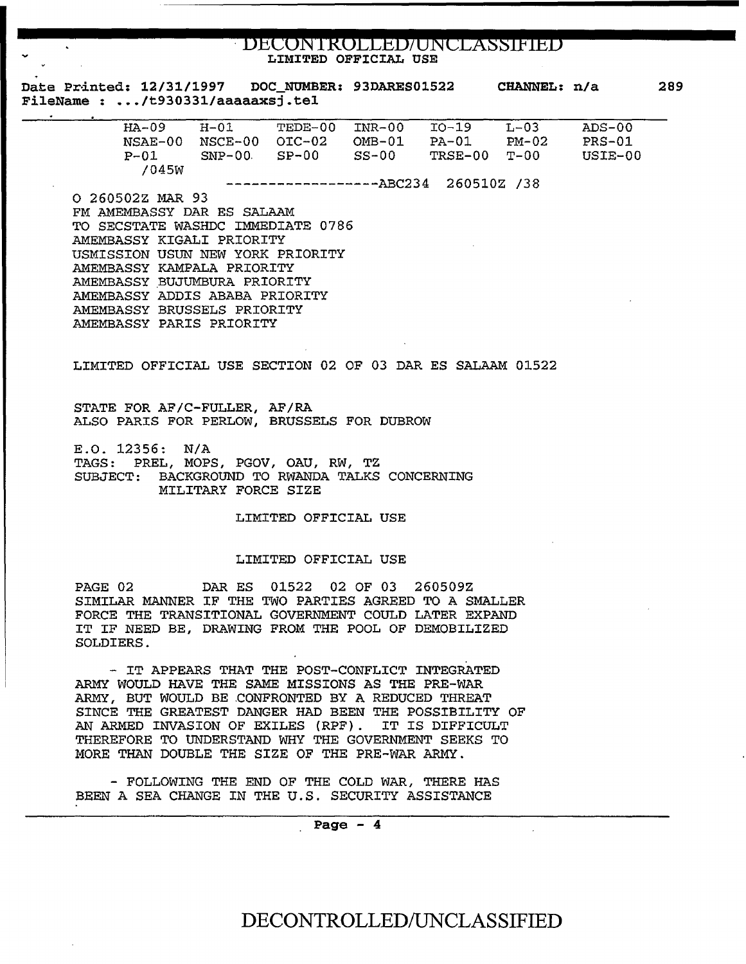# · **BbEBN Ikbttbb/BNELA§§ftlbb** LIMITED OFFICIAL USE

|  | <b>Date Printed: 12/31/1997</b>  | DOC NUMBER: 93DARES01522 | CHANNEL: n/a | 289 |
|--|----------------------------------|--------------------------|--------------|-----|
|  | FileName : /t930331/aaaaaxsj.tel |                          |              |     |

| $HA - 09$               | $H - 01$    | TEDE-00 | TNR-00   | $TO-19$ | $L-03$         | $ADS-00$ |  |  |
|-------------------------|-------------|---------|----------|---------|----------------|----------|--|--|
| NSAE-00                 | NSCE-00     | OTC-02  | $OMB-01$ | $PA-01$ | $PM-02$        | $PRS-01$ |  |  |
|                         |             |         |          |         |                |          |  |  |
| $P - 01$                | $SNP-00$    | $SP-00$ | $SS-00$  | TRSE-00 | <b>.</b> ጥ– በበ | USIE-00  |  |  |
| /045W                   |             |         |          |         |                |          |  |  |
|                         |             |         |          |         |                |          |  |  |
| $---------------ABC234$ |             |         |          |         |                |          |  |  |
|                         | 260510Z /38 |         |          |         |                |          |  |  |
|                         |             |         |          |         |                |          |  |  |

0 260502Z MAR 93 FM AMEMBASSY DAR ES SALAAM TO SECSTATE WASHDC IMMEDIATE 0786 AMEMBASSY KIGALI PRIORITY USMISSION USUN NEW YORK PRIORITY AMEMBASSY KAMPALA PRIORITY AMEMBASSY .BUJUMBURA PRIORITY AMEMBASSY ADDIS ABABA PRIORITY AMEMBASSY BRUSSELS PRIORITY AMEMBASSY PARIS PRIORITY

LIMITED OFFICIAL USE SECTION 02 OF 03 DAR ES SALAAM 01522

STATE FOR AF/C-FULLER, AF/RA ALSO PARIS FOR PERLOW, BRUSSELS FOR DUBROW

E.O. 12356: N/A TAGS: PREL, MOPS, PGOV, OAU, RW, TZ SUBJECT: BACKGROUND TO RWANDA TALKS CONCERNING MILITARY FORCE SIZE

LIMITED OFFICIAL USE

### LIMITED OFFICIAL USE

PAGE 02 DAR ES 01522 02 OF 03 260509Z SIMILAR MANNER IF THE TWO PARTIES AGREED TO A SMALLER FORCE THE TRANSITIONAL GOVERNMENT COULD LATER EXPAND IT IF NEED BE, DRAWING FROM THE POOL OF DEMOBILIZED SOLDIERS.

- IT APPEARS THAT THE POST-CONFLICT INTEGRATED ARMY WOULD HAVE THE SAME MISSIONS AS THE PRE-WAR ARMY, BUT WOULD BE .CONFRONTED BY A REDUCED THREAT SINCE THE GREATEST DANGER HAD BEEN THE POSSIBILITY OF AN ARMED INVASION OF EXILES (RPF). IT IS DIFFICULT THEREFORE TO UNDERSTAND WHY THE GOVERNMENT SEEKS TO MORE THAN DOUBLE THE SIZE OF THE PRE-WAR ARMY.

- FOLLOWING THE END OF THE COLD WAR, THERE HAS BEEN A SEA CHANGE IN THE U.S. SECURITY ASSISTANCE

. Page - 4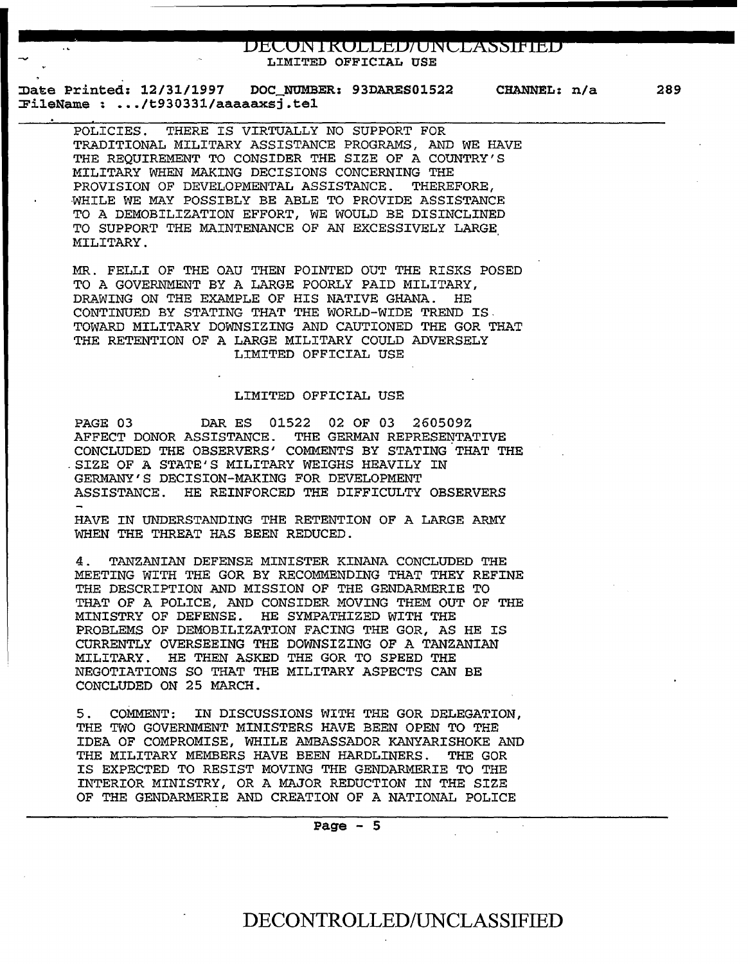**bbCON lkbttbb/ ON LLX§§Jf!B** LIMITED OFFICIAL USE

Date Printed: 12/31/1997 DOC NUMBER: 93DARES01522 CHANNEL: n/a ~ileName : ••• /t930331/aaaaaxsj.tel

POLICIES. THERE IS VIRTUALLY NO SUPPORT FOR TRADITIONAL MILITARY ASSISTANCE PROGRAMS, AND WE HAVE THE REQUIREMENT TO CONSIDER THE SIZE OF A COUNTRY'S MILITARY WHEN MAKING DECISIONS CONCERNING THE PROVISION OF DEVELOPMENTAL ASSISTANCE. THEREFORE, ·WHILE WE MAY POSSIBLY BE ABLE TO PROVIDE ASSISTANCE TO A DEMOBILIZATION EFFORT, WE WOULD BE DISINCLINED TO SUPPORT THE MAINTENANCE OF AN EXCESSIVELY LARGE. MILITARY.

MR. FELLI OF THE OAU THEN POINTED OUT THE RISKS POSED TO A GOVERNMENT BY A LARGE POORLY PAID MILITARY, DRAWING ON THE EXAMPLE OF HIS NATIVE GHANA. HE CONTINUED BY STATING THAT THE WORLD-WIDE TREND IS. TOWARD MILITARY DOWNSIZING AND CAUTIONED THE GOR THAT THE RETENTION OF A LARGE MILITARY COULD ADVERSELY LIMITED OFFICIAL USE

#### LIMITED OFFICIAL USE

PAGE 03 DAR ES 01522 02 OF 03 260509Z AFFECT DONOR ASSISTANCE. THE GERMAN REPRESENTATIVE CONCLUDED THE OBSERVERS' COMMENTS BY STATING THAT THE .SIZE OF A STATE'S MILITARY WEIGHS HEAVILY IN GERMANY'S DECISION-MAKING FOR DEVELOPMENT ASSISTANCE. HE REINFORCED THE DIFFICULTY OBSERVERS

HAVE IN UNDERSTANDING THE RETENTION OF A LARGE ARMY WHEN THE THREAT HAS BEEN REDUCED.

4. TANZANIAN DEFENSE MINISTER KINANA CONCLUDED THE MEETING WITH THE GOR BY RECOMMENDING THAT THEY REFINE THE DESCRIPTION AND MISSION OF THE GENDARMERIE TO THAT OF A POLICE, AND CONSIDER MOVING THEM OUT OF THE MINISTRY OF DEFENSE. HE SYMPATHIZED WITH THE PROBLEMS OF DEMOBILIZATION FACING THE GOR, AS HE IS CURRENTLY OVERSEEING THE DOWNSIZING OF A TANZANIAN MILITARY. HE THEN ASKED THE GOR TO SPEED THE NEGOTIATIONS SO THAT THE MILITARY ASPECTS CAN BE CONCLUDED ON 25 MARCH.

5. COMMENT: IN DISCUSSIONS WITH THE GOR DELEGATION, THE TWO GOVERNMENT MINISTERS HAVE BEEN OPEN TO THE IDEA OF COMPROMISE, WHILE AMBASSADOR KANYARISHOKE AND THE MILITARY MEMBERS HAVE BEEN HARDLINERS. THE GOR IS EXPECTED TO RESIST MOVING THE GENDARMERIE TO THE INTERIOR MINISTRY, OR A MAJOR REDUCTION IN THE SIZE OF THE GENDARMERIE AND CREATION OF A NATIONAL POLICE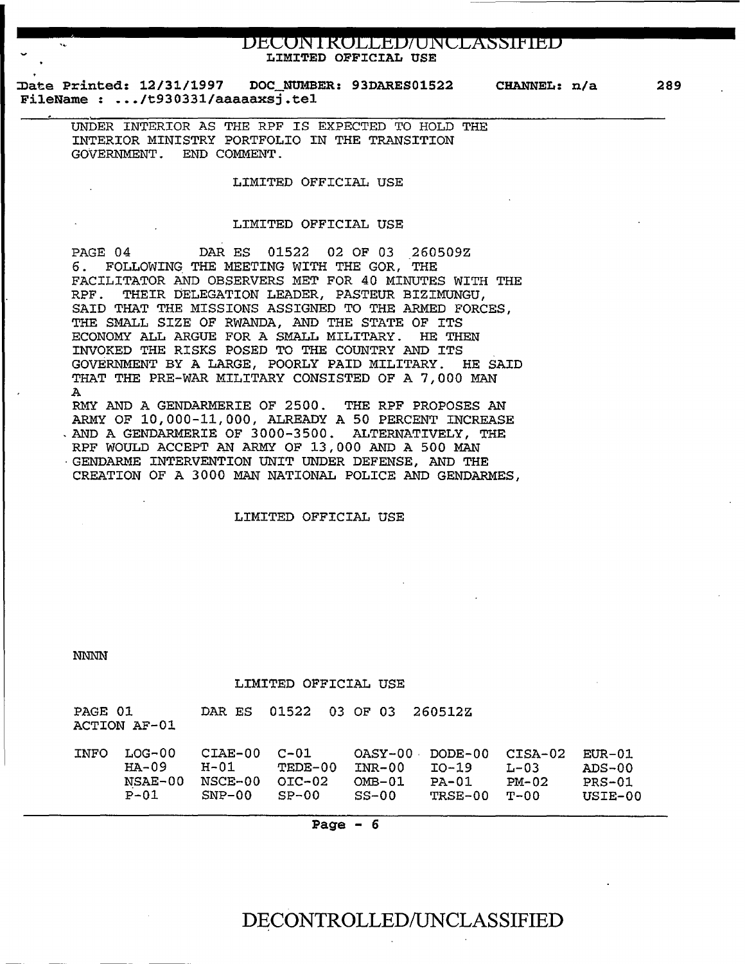# **BhEON Ikdtthb/ONELX§§!Plbb** LIMITED OFFICIAL USE

Date Printed: 12/31/1997 Date Printed: 12/31/1997 DOC NUMBER: 93DARES01522 CHANNEL: n/a FileName : .../t930331/aaaaaxsi.tel

UNDER INTERIOR AS THE RPF IS EXPECTED TO HOLD THE INTERIOR MINISTRY PORTFOLIO IN THE TRANSITION GOVERNMENT. END COMMENT.

## LIMITED OFFICIAL USE

#### LIMITED OFFICIAL USE

PAGE 04 DAR ES 01522 02 OF 03 260509Z 6. FOLLOWING THE MEETING WITH THE GOR, THE FACILITATOR AND OBSERVERS MET FOR 40 MINUTES WITH THE RPF. THEIR DELEGATION LEADER, PASTEUR BIZIMUNGU, SAID THAT THE MISSIONS ASSIGNED TO THE ARMED FORCES, THE SMALL SIZE OF RWANDA, AND THE STATE OF ITS ECONOMY ALL ARGUE FOR A SMALL MILITARY. HE THEN INVOKED THE RISKS POSED TO THE COUNTRY AND ITS GOvERNMENT BY A LARGE, POORLY PAID MILITARY. HE SAID THAT THE PRE-WAR MILITARY CONSISTED OF A 7,000 MAN A RMY AND A GENDARMERIE OF 2500. THE RPF PROPOSES AN ARMY OF 10,000-11,000, ALREADY A 50 PERCENT INCREASE . AND A GENDARMERIE OF 3000-3500. ALTERNATIVELY, THE RPF WOULD ACCEPT AN ARMY OF 13,000 AND A 500 MAN

· GENDARME INTERVENTION UNIT UNDER DEFENSE, AND THE CREATION OF A 3000 MAN NATIONAL POLICE AND GENDARMES,

#### LIMITED OFFICIAL USE

NNNN

#### LIMITED OFFICIAL USE

| PAGE 01 | ACTION AF-01 | DAR ES    | 01522    | 03 OF 03 | 260512Z |           |          |
|---------|--------------|-----------|----------|----------|---------|-----------|----------|
| INFO    | $LOG-00$     | $CIAE-00$ | $C - 01$ | OASY-00  | DODE-00 | CISA-02   | $EUR-01$ |
|         | $HA-09$      | $H-01$    | TEDE-00  | $INR-00$ | $TO-19$ | $L - 0.3$ | $ADS-00$ |
|         | NSAE-00      | NSCE-00   | $OIC-02$ | $OMB-01$ | $PA-01$ | $PM-02$   | $PRS-01$ |
|         | $P-01$       | $SNP-00$  | $SP-00$  | $SS-00$  | TRSE-00 | $T-00$    | USIE-00  |

Page  $-6$ 

## DECONTROLLED/UNCLASSIFIED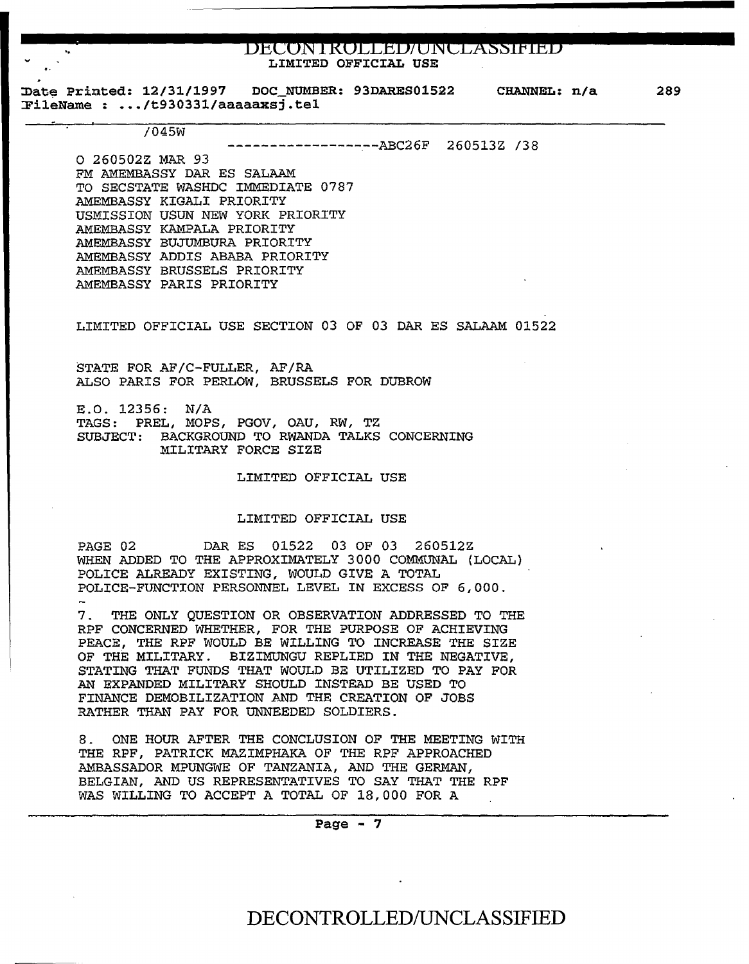## **BECON IROLLED/UNCLASSIFIED** LIMITED OFFICIAL USE

~ate Printed: 12/31/1997 DOC NUMBER: 93DARES01522 CHANNEL: n/a %Date Printed: 12/31/1997 DOC\_NUMB<br>FileName : .../t930331/aaaaaxsj.tel 289

/045W

------------------ABC26F 260513Z /38

0 260502Z MAR 93 FM AMEMBASSY DAR ES SALAAM TO SECSTATE WASHDC IMMEDIATE 0787 AMEMBASSY KIGALI PRIORITY USMISSION USUN NEW YORK PRIORITY AMEMBASSY KAMPALA PRIORITY AMEMBASSY BUJUMBURA PRIORITY AMEMBASSY ADDIS ABABA PRIORITY AMEMBASSY BRUSSELS PRIORITY AMEMBASSY PARIS PRIORITY

LIMITED OFFICIAL USE SECTION 03 OF 03 DAR ES SALAAM 01522

STATE FOR AF/C-FULLER, AF/RA ALSO PARIS FOR PERLOW, BRUSSELS FOR DUBROW

E.O. 12356: N/A TAGS: PREL, MOPS, PGOV, OAU, RW, TZ SUBJECT: BACKGROUND TO RWANDA TALKS CONCERNING MILITARY FORCE SIZE

LIMITED OFFICIAL USE

## LIMITED OFFICIAL USE

PAGE 02 DAR ES 01522 03 OF 03 260512Z WHEN ADDED TO THE APPROXIMATELY 3000 COMMUNAL (LOCAL) POLICE ALREADY EXISTING, WOULD GIVE A TOTAL POLICE-FUNCTION PERSONNEL LEVEL IN EXCESS OF 6,000.

7. THE ONLY QUESTION OR OBSERVATION ADDRESSED TO THE RPF CONCERNED WHETHER, FOR THE PURPOSE OF ACHIEVING PEACE, THE RPF WOULD BE WILLING TO INCREASE THE SIZE OF THE MILITARY. BIZIMUNGU REPLIED IN THE NEGATIVE, STATING THAT FUNDS THAT WOULD BE UTILIZED TO PAY FOR AN EXPANDED MILITARY SHOULD INSTEAD BE USED TO FINANCE DEMOBILIZATION AND THE CREATION OF JOBS RATHER THAN PAY FOR UNNEEDED SOLDIERS.

8 . ONE HOUR AFTER THE CONCLUSION OF THE MEETING WITH THE RPF, PATRICK MAZIMPHAKA OF THE RPF APPROACHED AMBASSADOR MPUNGWE OF TANZANIA, AND THE GERMAN, BELGIAN, AND US REPRESENTATIVES TO SAY THAT THE RPF WAS WILLING TO ACCEPT A TOTAL OF 18,000 FOR A